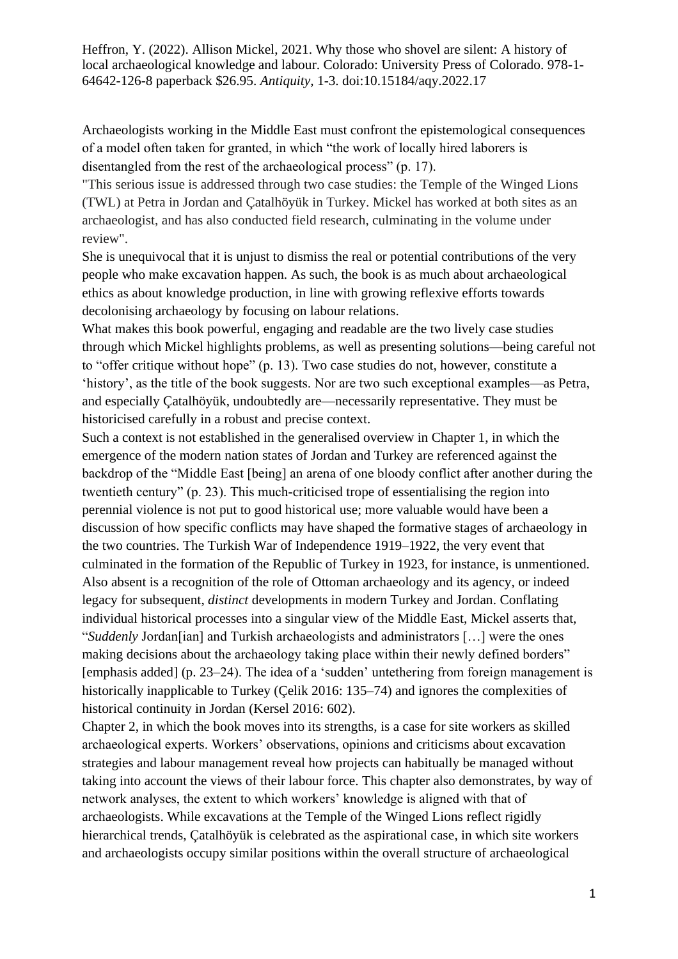Heffron, Y. (2022). Allison Mickel, 2021. Why those who shovel are silent: A history of local archaeological knowledge and labour. Colorado: University Press of Colorado. 978-1- 64642-126-8 paperback \$26.95. *Antiquity,* 1-3. doi:10.15184/aqy.2022.17

Archaeologists working in the Middle East must confront the epistemological consequences of a model often taken for granted, in which "the work of locally hired laborers is disentangled from the rest of the archaeological process" (p. 17).

"This serious issue is addressed through two case studies: the Temple of the Winged Lions (TWL) at Petra in Jordan and Çatalhöyük in Turkey. Mickel has worked at both sites as an archaeologist, and has also conducted field research, culminating in the volume under review".

She is unequivocal that it is unjust to dismiss the real or potential contributions of the very people who make excavation happen. As such, the book is as much about archaeological ethics as about knowledge production, in line with growing reflexive efforts towards decolonising archaeology by focusing on labour relations.

What makes this book powerful, engaging and readable are the two lively case studies through which Mickel highlights problems, as well as presenting solutions—being careful not to "offer critique without hope" (p. 13). Two case studies do not, however, constitute a 'history', as the title of the book suggests. Nor are two such exceptional examples—as Petra, and especially Çatalhöyük, undoubtedly are—necessarily representative. They must be historicised carefully in a robust and precise context.

Such a context is not established in the generalised overview in Chapter 1, in which the emergence of the modern nation states of Jordan and Turkey are referenced against the backdrop of the "Middle East [being] an arena of one bloody conflict after another during the twentieth century" (p. 23). This much-criticised trope of essentialising the region into perennial violence is not put to good historical use; more valuable would have been a discussion of how specific conflicts may have shaped the formative stages of archaeology in the two countries. The Turkish War of Independence 1919–1922, the very event that culminated in the formation of the Republic of Turkey in 1923, for instance, is unmentioned. Also absent is a recognition of the role of Ottoman archaeology and its agency, or indeed legacy for subsequent, *distinct* developments in modern Turkey and Jordan. Conflating individual historical processes into a singular view of the Middle East, Mickel asserts that, "*Suddenly* Jordan[ian] and Turkish archaeologists and administrators […] were the ones making decisions about the archaeology taking place within their newly defined borders" [emphasis added] (p. 23–24). The idea of a 'sudden' untethering from foreign management is historically inapplicable to Turkey (Çelik 2016: 135–74) and ignores the complexities of historical continuity in Jordan (Kersel 2016: 602).

Chapter 2, in which the book moves into its strengths, is a case for site workers as skilled archaeological experts. Workers' observations, opinions and criticisms about excavation strategies and labour management reveal how projects can habitually be managed without taking into account the views of their labour force. This chapter also demonstrates, by way of network analyses, the extent to which workers' knowledge is aligned with that of archaeologists. While excavations at the Temple of the Winged Lions reflect rigidly hierarchical trends, Çatalhöyük is celebrated as the aspirational case, in which site workers and archaeologists occupy similar positions within the overall structure of archaeological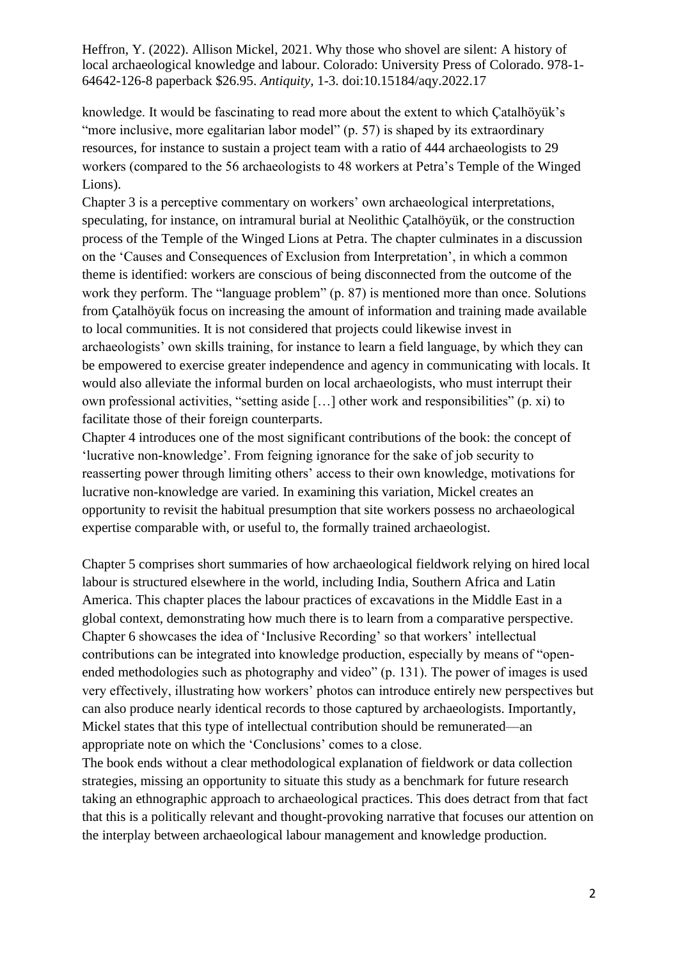Heffron, Y. (2022). Allison Mickel, 2021. Why those who shovel are silent: A history of local archaeological knowledge and labour. Colorado: University Press of Colorado. 978-1- 64642-126-8 paperback \$26.95. *Antiquity,* 1-3. doi:10.15184/aqy.2022.17

knowledge. It would be fascinating to read more about the extent to which Çatalhöyük's "more inclusive, more egalitarian labor model" (p. 57) is shaped by its extraordinary resources, for instance to sustain a project team with a ratio of 444 archaeologists to 29 workers (compared to the 56 archaeologists to 48 workers at Petra's Temple of the Winged Lions).

Chapter 3 is a perceptive commentary on workers' own archaeological interpretations, speculating, for instance, on intramural burial at Neolithic Çatalhöyük, or the construction process of the Temple of the Winged Lions at Petra. The chapter culminates in a discussion on the 'Causes and Consequences of Exclusion from Interpretation', in which a common theme is identified: workers are conscious of being disconnected from the outcome of the work they perform. The "language problem" (p. 87) is mentioned more than once. Solutions from Çatalhöyük focus on increasing the amount of information and training made available to local communities. It is not considered that projects could likewise invest in archaeologists' own skills training, for instance to learn a field language, by which they can be empowered to exercise greater independence and agency in communicating with locals. It would also alleviate the informal burden on local archaeologists, who must interrupt their own professional activities, "setting aside […] other work and responsibilities" (p. xi) to facilitate those of their foreign counterparts.

Chapter 4 introduces one of the most significant contributions of the book: the concept of 'lucrative non-knowledge'. From feigning ignorance for the sake of job security to reasserting power through limiting others' access to their own knowledge, motivations for lucrative non-knowledge are varied. In examining this variation, Mickel creates an opportunity to revisit the habitual presumption that site workers possess no archaeological expertise comparable with, or useful to, the formally trained archaeologist.

Chapter 5 comprises short summaries of how archaeological fieldwork relying on hired local labour is structured elsewhere in the world, including India, Southern Africa and Latin America. This chapter places the labour practices of excavations in the Middle East in a global context, demonstrating how much there is to learn from a comparative perspective. Chapter 6 showcases the idea of 'Inclusive Recording' so that workers' intellectual contributions can be integrated into knowledge production, especially by means of "openended methodologies such as photography and video" (p. 131). The power of images is used very effectively, illustrating how workers' photos can introduce entirely new perspectives but can also produce nearly identical records to those captured by archaeologists. Importantly, Mickel states that this type of intellectual contribution should be remunerated—an appropriate note on which the 'Conclusions' comes to a close.

The book ends without a clear methodological explanation of fieldwork or data collection strategies, missing an opportunity to situate this study as a benchmark for future research taking an ethnographic approach to archaeological practices. This does detract from that fact that this is a politically relevant and thought-provoking narrative that focuses our attention on the interplay between archaeological labour management and knowledge production.